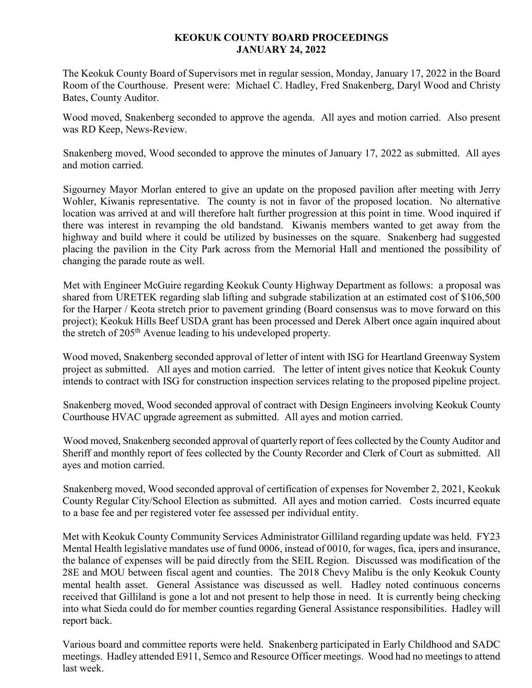## **KEOKUK COUNTY BOARD PROCEEDINGS JANUARY 24, 2022**

The Keokuk County Board of Supervisors met in regular session, Monday, January 17, 2022 in the Board Room of the Courthouse. Present were: Michael C. Hadley, Fred Snakenberg, Daryl Wood and Christy Bates, County Auditor.

Wood moved, Snakenberg seconded to approve the agenda. All ayes and motion carried. Also present was RD Keep, News-Review.

Snakenberg moved, Wood seconded to approve the minutes of January 17, 2022 as submitted. All ayes and motion carried.

Sigourney Mayor Morlan entered to give an update on the proposed pavilion after meeting with Jerry Wohler, Kiwanis representative. The county is not in favor of the proposed location. No alternative location was arrived at and will therefore halt further progression at this point in time. Wood inquired if there was interest in revamping the old bandstand. Kiwanis members wanted to get away from the highway and build where it could be utilized by businesses on the square. Snakenberg had suggested placing the pavilion in the City Park across from the Memorial Hall and mentioned the possibility of changing the parade route as well.

Met with Engineer McGuire regarding Keokuk County Highway Department as follows: a proposal was shared from URETEK regarding slab lifting and subgrade stabilization at an estimated cost of \$106,500 for the Harper / Keota stretch prior to pavement grinding (Board consensus was to move forward on this project); Keokuk Hills Beef USDA grant has been processed and Derek Albert once again inquired about the stretch of 205th Avenue leading to his undeveloped property.

Wood moved, Snakenberg seconded approval of letter of intent with ISG for Heartland Greenway System project as submitted. All ayes and motion carried. The letter of intent gives notice that Keokuk County intends to contract with ISG for construction inspection services relating to the proposed pipeline project.

Snakenberg moved, Wood seconded approval of contract with Design Engineers involving Keokuk County Courthouse HVAC upgrade agreement as submitted. All ayes and motion carried.

Wood moved, Snakenberg seconded approval of quarterly report of fees collected by the County Auditor and Sheriff and monthly report of fees collected by the County Recorder and Clerk of Court as submitted. All ayes and motion carried.

Snakenberg moved, Wood seconded approval of certification of expenses for November 2, 2021, Keokuk County Regular City/School Election as submitted. All ayes and motion carried. Costs incurred equate to a base fee and per registered voter fee assessed per individual entity.

Met with Keokuk County Community Services Administrator Gilliland regarding update was held. FY23 Mental Health legislative mandates use of fund 0006, instead of 0010, for wages, fica, ipers and insurance, the balance of expenses will be paid directly from the SEIL Region. Discussed was modification of the 28E and MOU between fiscal agent and counties. The 2018 Chevy Malibu is the only Keokuk County mental health asset. General Assistance was discussed as well. Hadley noted continuous concerns received that Gilliland is gone a lot and not present to help those in need. It is currently being checking into what Sieda could do for member counties regarding General Assistance responsibilities. Hadley will report back.

Various board and committee reports were held. Snakenberg participated in Early Childhood and SADC meetings. Hadley attended E911, Semco and Resource Officer meetings. Wood had no meetings to attend last week.